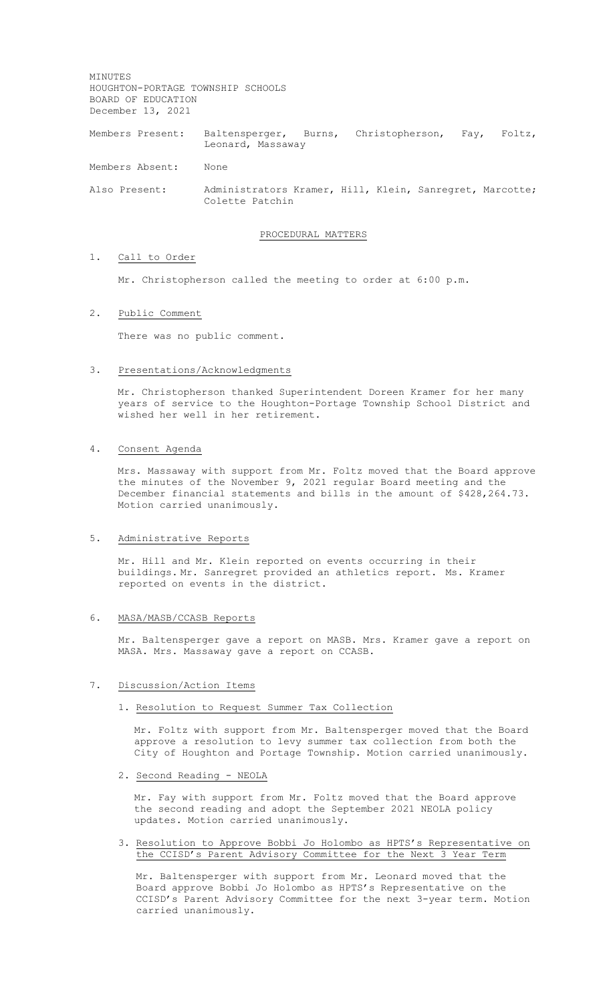MINUTES HOUGHTON-PORTAGE TOWNSHIP SCHOOLS BOARD OF EDUCATION December 13, 2021

Members Present: Baltensperger, Burns, Christopherson, Fay, Foltz, Leonard, Massaway

Members Absent: None

Also Present: Administrators Kramer, Hill, Klein, Sanregret, Marcotte; Colette Patchin

#### PROCEDURAL MATTERS

# 1. Call to Order

Mr. Christopherson called the meeting to order at 6:00 p.m.

#### 2. Public Comment

There was no public comment.

#### 3. Presentations/Acknowledgments

Mr. Christopherson thanked Superintendent Doreen Kramer for her many years of service to the Houghton-Portage Township School District and wished her well in her retirement.

## 4. Consent Agenda

Mrs. Massaway with support from Mr. Foltz moved that the Board approve the minutes of the November 9, 2021 regular Board meeting and the December financial statements and bills in the amount of \$428,264.73. Motion carried unanimously.

## 5. Administrative Reports

Mr. Hill and Mr. Klein reported on events occurring in their buildings. Mr. Sanregret provided an athletics report. Ms. Kramer reported on events in the district.

#### 6. MASA/MASB/CCASB Reports

Mr. Baltensperger gave a report on MASB. Mrs. Kramer gave a report on MASA. Mrs. Massaway gave a report on CCASB.

## 7. Discussion/Action Items

## 1. Resolution to Request Summer Tax Collection

Mr. Foltz with support from Mr. Baltensperger moved that the Board approve a resolution to levy summer tax collection from both the City of Houghton and Portage Township. Motion carried unanimously.

# 2. Second Reading - NEOLA

Mr. Fay with support from Mr. Foltz moved that the Board approve the second reading and adopt the September 2021 NEOLA policy updates. Motion carried unanimously.

3. Resolution to Approve Bobbi Jo Holombo as HPTS's Representative on the CCISD's Parent Advisory Committee for the Next 3 Year Term

Mr. Baltensperger with support from Mr. Leonard moved that the Board approve Bobbi Jo Holombo as HPTS's Representative on the CCISD's Parent Advisory Committee for the next 3-year term. Motion carried unanimously.